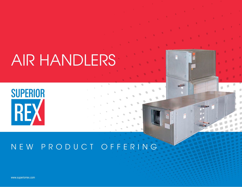## AIR HANDLERS

# **SUPERIOR** REX

### NEW PRODUCT OFFERING

www.superiorrex.com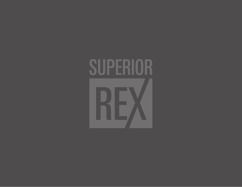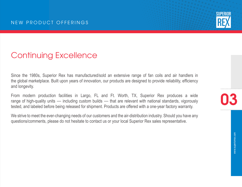

### Continuing Excellence

Since the 1980s, Superior Rex has manufactured/sold an extensive range of fan coils and air handlers in the global marketplace. Built upon years of innovation, our products are designed to provide reliability, efficiency and longevity.

From modern production facilities in Largo, FL and Ft. Worth, TX, Superior Rex produces a wide range of high-quality units — including custom builds — that are relevant with national standards, vigorously tested, and labeled before being released for shipment. Products are offered with a one-year factory warranty.

We strive to meet the ever-changing needs of our customers and the air-distribution industry. Should you have any questions/comments, please do not hesitate to contact us or your local Superior Rex sales representative.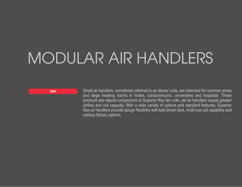## MODULAR AIR HANDLERS

SBM Small air handlers, sometimes referred to as blower coils, are intended for common areas and large meeting rooms in hotels, condominiums, universities and hospitals. These products are natural companions to Superior Rex fan coils, yet air handlers supply greater airflow and coil capacity. With a wide variety of options and standard features, Superior Rex air handlers provide design flexibility with belt-driven fans, multi-row coil capability and various factory options.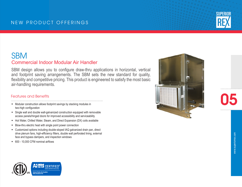#### NEW PRODUCT OFFERINGS

### **SBM** Commercial Indoor Modular Air Handler

SBM design allows you to configure draw-thru applications in horizontal, vertical and footprint saving arrangements. The SBM sets the new standard for quality, flexibility and competitive pricing. This product is engineered to satisfy the most basic air-handling requirements.

#### Features and Benefits

- **Modular construction allows footprint savings by stacking modules in** two-high configuration
- Single wall and double wall-galvanized construction equipped with removable access panels/hinged doors for improved accessibility and serviceability
- Hot Water, Chilled Water, Steam, and Direct Expansion (DX) coils available
- Blow-thru electric heat with single point power connection
- Customized options including double-sloped IAQ galvanized drain pan, direct drive plenum fans, high-efficiency filters, double wall perforated lining, external face and bypass dampers, and inspection windows
- 600 10,000 CFM nominal airflows





05

**SUPERIOR** 

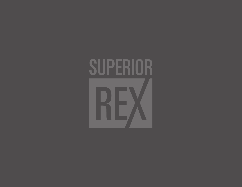